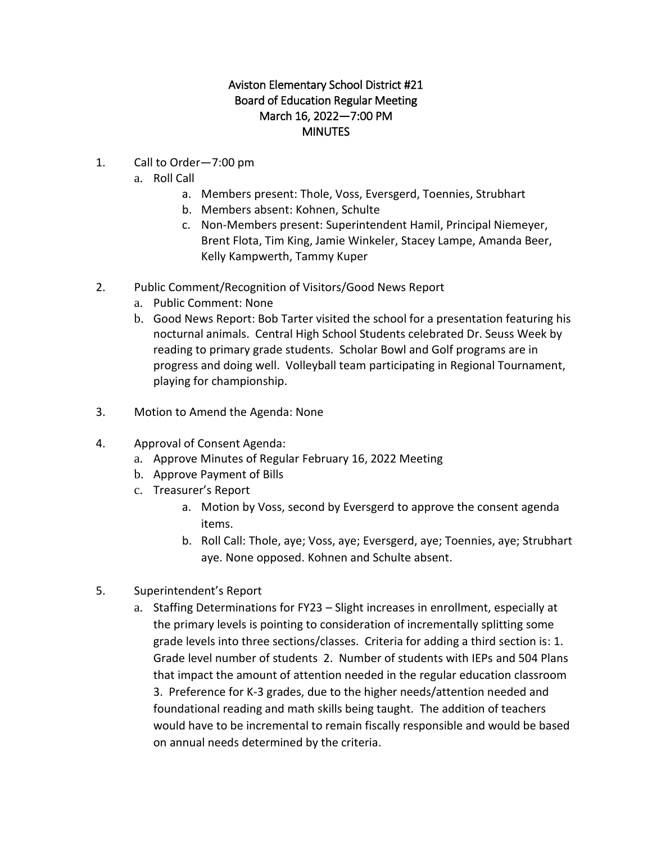## Aviston Elementary School District #21 Board of Education Regular Meeting March 16, 2022—7:00 PM **MINUTES**

- 1. Call to Order—7:00 pm
	- a. Roll Call
		- a. Members present: Thole, Voss, Eversgerd, Toennies, Strubhart
		- b. Members absent: Kohnen, Schulte
		- c. Non-Members present: Superintendent Hamil, Principal Niemeyer, Brent Flota, Tim King, Jamie Winkeler, Stacey Lampe, Amanda Beer, Kelly Kampwerth, Tammy Kuper
- 2. Public Comment/Recognition of Visitors/Good News Report
	- a. Public Comment: None
	- b. Good News Report: Bob Tarter visited the school for a presentation featuring his nocturnal animals. Central High School Students celebrated Dr. Seuss Week by reading to primary grade students. Scholar Bowl and Golf programs are in progress and doing well. Volleyball team participating in Regional Tournament, playing for championship.
- 3. Motion to Amend the Agenda: None
- 4. Approval of Consent Agenda:
	- a. Approve Minutes of Regular February 16, 2022 Meeting
	- b. Approve Payment of Bills
	- c. Treasurer's Report
		- a. Motion by Voss, second by Eversgerd to approve the consent agenda items.
		- b. Roll Call: Thole, aye; Voss, aye; Eversgerd, aye; Toennies, aye; Strubhart aye. None opposed. Kohnen and Schulte absent.
- 5. Superintendent's Report
	- a. Staffing Determinations for FY23 Slight increases in enrollment, especially at the primary levels is pointing to consideration of incrementally splitting some grade levels into three sections/classes. Criteria for adding a third section is: 1. Grade level number of students 2. Number of students with IEPs and 504 Plans that impact the amount of attention needed in the regular education classroom 3. Preference for K-3 grades, due to the higher needs/attention needed and foundational reading and math skills being taught. The addition of teachers would have to be incremental to remain fiscally responsible and would be based on annual needs determined by the criteria.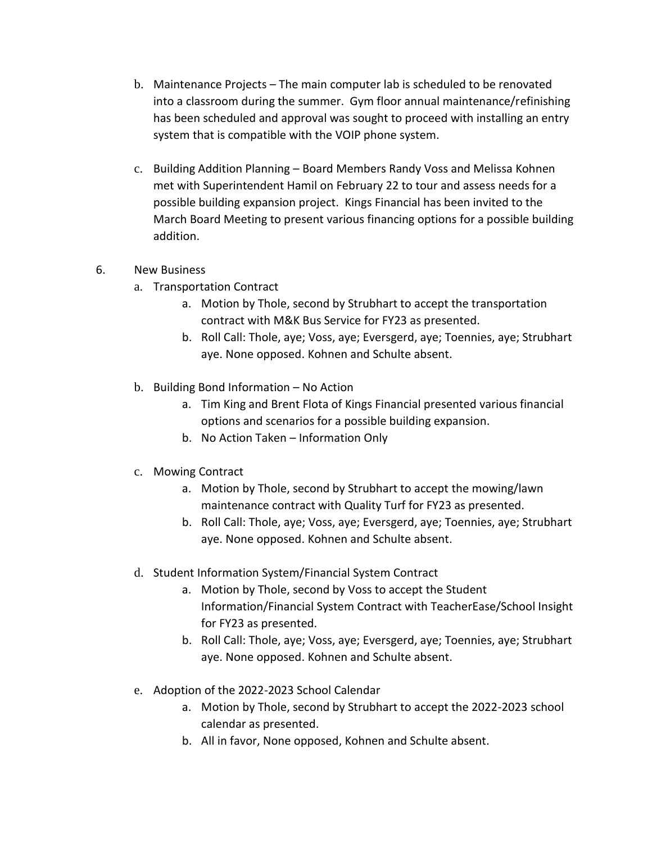- b. Maintenance Projects The main computer lab is scheduled to be renovated into a classroom during the summer. Gym floor annual maintenance/refinishing has been scheduled and approval was sought to proceed with installing an entry system that is compatible with the VOIP phone system.
- c. Building Addition Planning Board Members Randy Voss and Melissa Kohnen met with Superintendent Hamil on February 22 to tour and assess needs for a possible building expansion project. Kings Financial has been invited to the March Board Meeting to present various financing options for a possible building addition.
- 6. New Business
	- a. Transportation Contract
		- a. Motion by Thole, second by Strubhart to accept the transportation contract with M&K Bus Service for FY23 as presented.
		- b. Roll Call: Thole, aye; Voss, aye; Eversgerd, aye; Toennies, aye; Strubhart aye. None opposed. Kohnen and Schulte absent.
	- b. Building Bond Information No Action
		- a. Tim King and Brent Flota of Kings Financial presented various financial options and scenarios for a possible building expansion.
		- b. No Action Taken Information Only
	- c. Mowing Contract
		- a. Motion by Thole, second by Strubhart to accept the mowing/lawn maintenance contract with Quality Turf for FY23 as presented.
		- b. Roll Call: Thole, aye; Voss, aye; Eversgerd, aye; Toennies, aye; Strubhart aye. None opposed. Kohnen and Schulte absent.
	- d. Student Information System/Financial System Contract
		- a. Motion by Thole, second by Voss to accept the Student Information/Financial System Contract with TeacherEase/School Insight for FY23 as presented.
		- b. Roll Call: Thole, aye; Voss, aye; Eversgerd, aye; Toennies, aye; Strubhart aye. None opposed. Kohnen and Schulte absent.
	- e. Adoption of the 2022-2023 School Calendar
		- a. Motion by Thole, second by Strubhart to accept the 2022-2023 school calendar as presented.
		- b. All in favor, None opposed, Kohnen and Schulte absent.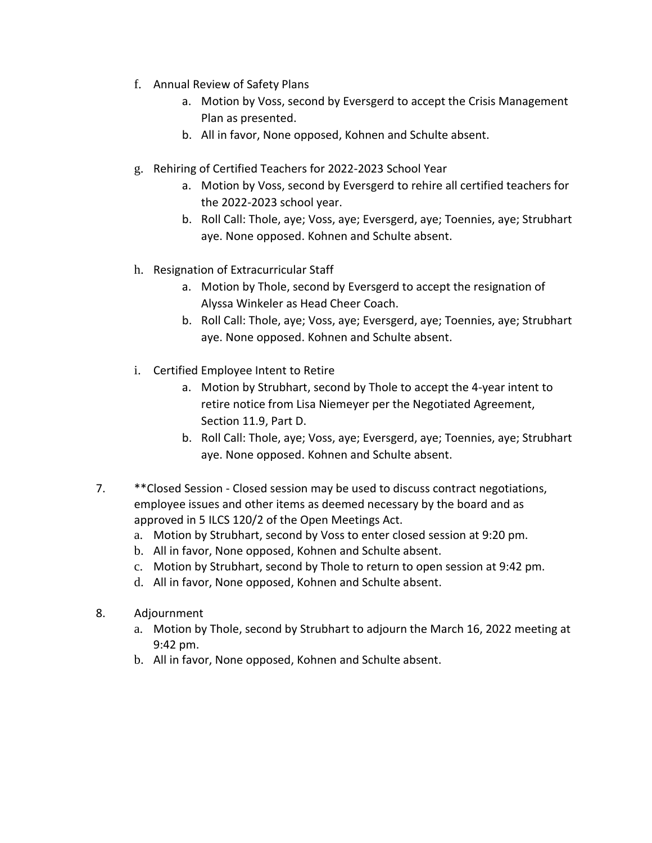- f. Annual Review of Safety Plans
	- a. Motion by Voss, second by Eversgerd to accept the Crisis Management Plan as presented.
	- b. All in favor, None opposed, Kohnen and Schulte absent.
- g. Rehiring of Certified Teachers for 2022-2023 School Year
	- a. Motion by Voss, second by Eversgerd to rehire all certified teachers for the 2022-2023 school year.
	- b. Roll Call: Thole, aye; Voss, aye; Eversgerd, aye; Toennies, aye; Strubhart aye. None opposed. Kohnen and Schulte absent.
- h. Resignation of Extracurricular Staff
	- a. Motion by Thole, second by Eversgerd to accept the resignation of Alyssa Winkeler as Head Cheer Coach.
	- b. Roll Call: Thole, aye; Voss, aye; Eversgerd, aye; Toennies, aye; Strubhart aye. None opposed. Kohnen and Schulte absent.
- i. Certified Employee Intent to Retire
	- a. Motion by Strubhart, second by Thole to accept the 4-year intent to retire notice from Lisa Niemeyer per the Negotiated Agreement, Section 11.9, Part D.
	- b. Roll Call: Thole, aye; Voss, aye; Eversgerd, aye; Toennies, aye; Strubhart aye. None opposed. Kohnen and Schulte absent.
- 7. \*\*Closed Session Closed session may be used to discuss contract negotiations, employee issues and other items as deemed necessary by the board and as approved in 5 ILCS 120/2 of the Open Meetings Act.
	- a. Motion by Strubhart, second by Voss to enter closed session at 9:20 pm.
	- b. All in favor, None opposed, Kohnen and Schulte absent.
	- c. Motion by Strubhart, second by Thole to return to open session at 9:42 pm.
	- d. All in favor, None opposed, Kohnen and Schulte absent.
- 8. Adjournment
	- a. Motion by Thole, second by Strubhart to adjourn the March 16, 2022 meeting at 9:42 pm.
	- b. All in favor, None opposed, Kohnen and Schulte absent.